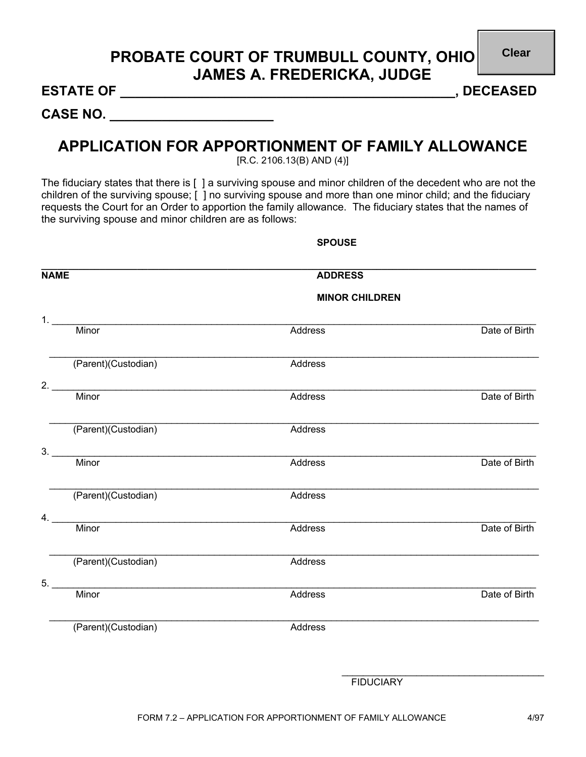## **PROBATE COURT OF TRUMBULL COUNTY, OHIO JAMES A. FREDERICKA, JUDGE**

**Clear**

**ESTATE OF \_\_\_\_\_\_\_\_\_\_\_\_\_\_\_\_\_\_\_\_\_\_\_\_\_\_\_\_\_\_\_\_\_\_\_\_\_\_\_\_\_\_\_\_\_, DECEASED** 

**CASE NO. \_\_\_\_\_\_\_\_\_\_\_\_\_\_\_\_\_\_\_\_\_\_** 

## **APPLICATION FOR APPORTIONMENT OF FAMILY ALLOWANCE**

[R.C. 2106.13(B) AND (4)]

The fiduciary states that there is [ ] a surviving spouse and minor children of the decedent who are not the children of the surviving spouse; [ ] no surviving spouse and more than one minor child; and the fiduciary requests the Court for an Order to apportion the family allowance. The fiduciary states that the names of the surviving spouse and minor children are as follows:

**SPOUSE** 

| <b>NAME</b> |                                                                         | <b>ADDRESS</b>        |               |  |
|-------------|-------------------------------------------------------------------------|-----------------------|---------------|--|
|             |                                                                         | <b>MINOR CHILDREN</b> |               |  |
| 1.          |                                                                         |                       |               |  |
|             | Minor                                                                   | Address               | Date of Birth |  |
|             | (Parent)(Custodian)                                                     | Address               |               |  |
| 2.          | Minor                                                                   | Address               | Date of Birth |  |
|             | (Parent)(Custodian)                                                     | Address               |               |  |
| 3.          | <u> 1980 - Jan Barnett, margaret amerikan basal (h. 1980).</u><br>Minor | Address               | Date of Birth |  |
|             | (Parent)(Custodian)                                                     | Address               |               |  |
| 4.          | <u> 1989 - Johann Barbara, martxa alemaniar a</u><br>Minor              | Address               | Date of Birth |  |
|             | (Parent)(Custodian)                                                     | Address               |               |  |
| 5.          | Minor                                                                   | Address               | Date of Birth |  |
|             | (Parent)(Custodian)                                                     | Address               |               |  |
|             |                                                                         |                       |               |  |
|             |                                                                         | <b>FIDUCIARY</b>      |               |  |